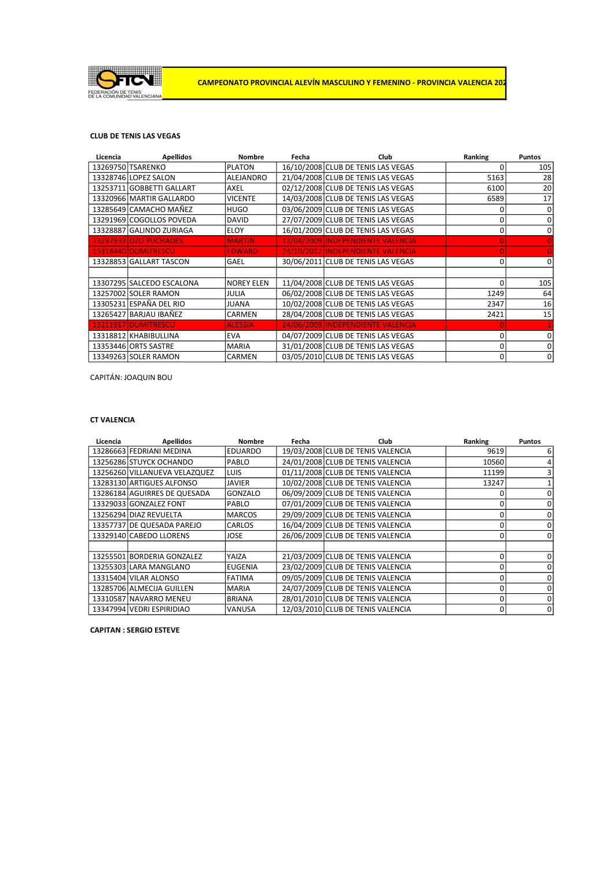

## CLUB DE TENIS LAS VEGAS

| Licencia | <b>Apellidos</b>          | <b>Nombre</b>     | Fecha | Club                               | Ranking  | <b>Puntos</b> |
|----------|---------------------------|-------------------|-------|------------------------------------|----------|---------------|
|          | 13269750 TSARENKO         | <b>PLATON</b>     |       | 16/10/2008 CLUB DE TENIS LAS VEGAS | 0        | 105           |
|          | 13328746 LOPEZ SALON      | ALEJANDRO         |       | 21/04/2008 CLUB DE TENIS LAS VEGAS | 5163     | 28            |
|          | 13253711 GOBBETTI GALLART | <b>AXEL</b>       |       | 02/12/2008 CLUB DE TENIS LAS VEGAS | 6100     | 20            |
|          | 13320966 MARTIR GALLARDO  | <b>VICENTE</b>    |       | 14/03/2008 CLUB DE TENIS LAS VEGAS | 6589     | 17            |
|          | 13285649 CAMACHO MAÑEZ    | <b>HUGO</b>       |       | 03/06/2009 CLUB DE TENIS LAS VEGAS | 0        | 0             |
|          | 13291969 COGOLLOS POVEDA  | <b>DAVID</b>      |       | 27/07/2009 CLUB DE TENIS LAS VEGAS | 0        | 0             |
|          | 13328887 GALINDO ZURIAGA  | <b>ELOY</b>       |       | 16/01/2009 CLUB DE TENIS LAS VEGAS | 0        | 0             |
|          | 13297933 OZU PUCHADES     | <b>MARTIN</b>     |       | 12/04/2009 INDEPENDIENTE VALENCIA  | $\Omega$ |               |
|          | 13318440 DUMITRESCU       | <b>EDWARD</b>     |       | 24/10/2012 INDEPENDIENTE VALENCIA  | $\Omega$ | $\Omega$      |
|          | 13328853 GALLART TASCON   | <b>GAEL</b>       |       | 30/06/2011 CLUB DE TENIS LAS VEGAS | 0        | 0             |
|          |                           |                   |       |                                    |          |               |
|          | 13307295 SALCEDO ESCALONA | <b>NOREY ELEN</b> |       | 11/04/2008 CLUB DE TENIS LAS VEGAS | 0        | 105           |
|          | 13257002 SOLER RAMON      | <b>JULIA</b>      |       | 06/02/2008 CLUB DE TENIS LAS VEGAS | 1249     | 64            |
|          | 13305231 ESPAÑA DEL RIO   | <b>JUANA</b>      |       | 10/02/2008 CLUB DE TENIS LAS VEGAS | 2347     | 16            |
|          | 13265427 BARJAU IBAÑEZ    | CARMEN            |       | 28/04/2008 CLUB DE TENIS LAS VEGAS | 2421     | 15            |
|          | 13211917 DUMITRESCU       | <b>ALESSIA</b>    |       | 24/06/2009 INDEPENDIENTE VALENCIA  |          |               |
|          | 13318812 KHABIBULLINA     | <b>EVA</b>        |       | 04/07/2009 CLUB DE TENIS LAS VEGAS | 0        | 0             |
|          | 13353446 ORTS SASTRE      | <b>MARIA</b>      |       | 31/01/2008 CLUB DE TENIS LAS VEGAS | 0        | 0             |
|          | 13349263 SOLER RAMON      | CARMEN            |       | 03/05/2010 CLUB DE TENIS LAS VEGAS | 0        | 0             |

CAPITÁN: JOAQUIN BOU

#### CT VALENCIA

| Licencia | <b>Apellidos</b>              | <b>Nombre</b>  | Fecha | Club                              | Ranking  | <b>Puntos</b> |
|----------|-------------------------------|----------------|-------|-----------------------------------|----------|---------------|
|          | 13286663 FEDRIANI MEDINA      | <b>EDUARDO</b> |       | 19/03/2008 CLUB DE TENIS VALENCIA | 9619     | 6             |
|          | 13256286 STUYCK OCHANDO       | <b>PABLO</b>   |       | 24/01/2008 CLUB DE TENIS VALENCIA | 10560    | 4             |
|          | 13256260 VILLANUEVA VELAZQUEZ | LUIS           |       | 01/11/2008 CLUB DE TENIS VALENCIA | 11199    | 3             |
|          | 13283130 ARTIGUES ALFONSO     | <b>JAVIER</b>  |       | 10/02/2008 CLUB DE TENIS VALENCIA | 13247    |               |
|          | 13286184 AGUIRRES DE QUESADA  | GONZALO        |       | 06/09/2009 CLUB DE TENIS VALENCIA | 0        | 0             |
|          | 13329033 GONZALEZ FONT        | <b>PABLO</b>   |       | 07/01/2009 CLUB DE TENIS VALENCIA | 0        | 0             |
|          | 13256294 DIAZ REVUELTA        | <b>MARCOS</b>  |       | 29/09/2009 CLUB DE TENIS VALENCIA | 0        | 0             |
|          | 13357737 DE QUESADA PAREJO    | CARLOS         |       | 16/04/2009 CLUB DE TENIS VALENCIA | 0        | 0             |
|          | 13329140 CABEDO LLORENS       | <b>JOSE</b>    |       | 26/06/2009 CLUB DE TENIS VALENCIA | 0        | 0             |
|          |                               |                |       |                                   |          |               |
|          | 13255501 BORDERIA GONZALEZ    | YAIZA          |       | 21/03/2009 CLUB DE TENIS VALENCIA | 0        | 0             |
|          | 13255303 LARA MANGLANO        | <b>EUGENIA</b> |       | 23/02/2009 CLUB DE TENIS VALENCIA | 0        | 0             |
|          | 13315404 VILAR ALONSO         | <b>FATIMA</b>  |       | 09/05/2009 CLUB DE TENIS VALENCIA | 0        | 0             |
|          | 13285706 ALMECIJA GUILLEN     | <b>MARIA</b>   |       | 24/07/2009 CLUB DE TENIS VALENCIA | 0        | 0             |
|          | 13310587 NAVARRO MENEU        | <b>BRIANA</b>  |       | 28/01/2010 CLUB DE TENIS VALENCIA | 0        | 0             |
|          | 13347994 VEDRI ESPIRIDIAO     | VANUSA         |       | 12/03/2010 CLUB DE TENIS VALENCIA | $\Omega$ | 0             |

CAPITAN : SERGIO ESTEVE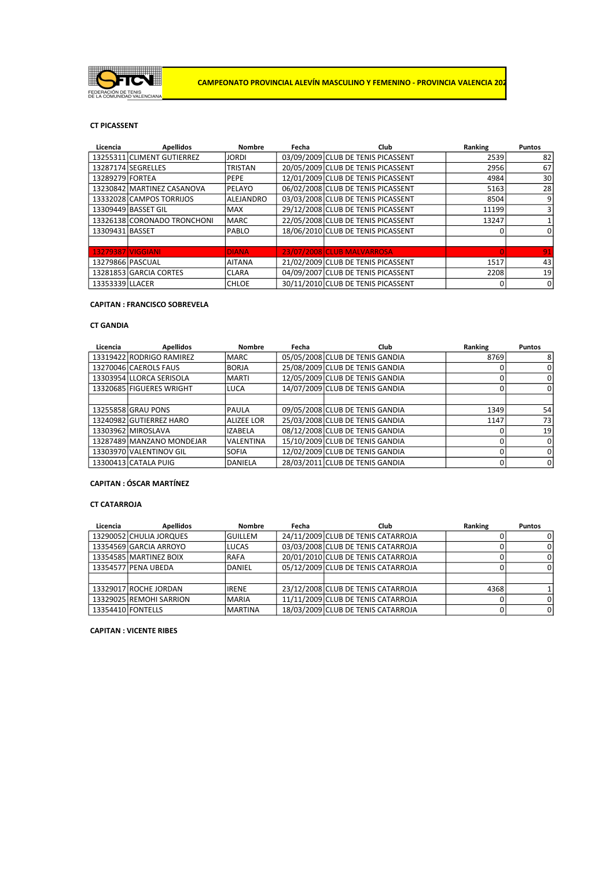

## CT PICASSENT

| Licencia          | <b>Apellidos</b>            | Nombre           | Fecha | Club                               | Ranking  | <b>Puntos</b> |
|-------------------|-----------------------------|------------------|-------|------------------------------------|----------|---------------|
|                   | 13255311 CLIMENT GUTIERREZ  | <b>JORDI</b>     |       | 03/09/2009 CLUB DE TENIS PICASSENT | 2539     | 82            |
|                   | 13287174 SEGRELLES          | <b>TRISTAN</b>   |       | 20/05/2009 CLUB DE TENIS PICASSENT | 2956     | 67            |
| 13289279 FORTEA   |                             | PEPE             |       | 12/01/2009 CLUB DE TENIS PICASSENT | 4984     | 30            |
|                   | 13230842 MARTINEZ CASANOVA  | PELAYO           |       | 06/02/2008 CLUB DE TENIS PICASSENT | 5163     | 28            |
|                   | 13332028 CAMPOS TORRIJOS    | <b>ALEJANDRO</b> |       | 03/03/2008 CLUB DE TENIS PICASSENT | 8504     | 9             |
|                   | 13309449 BASSET GIL         | <b>MAX</b>       |       | 29/12/2008 CLUB DE TENIS PICASSENT | 11199    | 3             |
|                   | 13326138 CORONADO TRONCHONI | <b>MARC</b>      |       | 22/05/2008 CLUB DE TENIS PICASSENT | 13247    |               |
| 13309431 BASSET   |                             | PABLO            |       | 18/06/2010 CLUB DE TENIS PICASSENT | 0        | 0             |
|                   |                             |                  |       |                                    |          |               |
| 13279387 VIGGIANI |                             | <b>DIANA</b>     |       | 23/07/2008 CLUB MALVARROSA         | $\Omega$ | 91            |
| 13279866 PASCUAL  |                             | <b>AITANA</b>    |       | 21/02/2009 CLUB DE TENIS PICASSENT | 1517     | 43            |
|                   | 13281853 GARCIA CORTES      | <b>CLARA</b>     |       | 04/09/2007 CLUB DE TENIS PICASSENT | 2208     | 19            |
| 13353339 LLACER   |                             | <b>CHLOE</b>     |       | 30/11/2010 CLUB DE TENIS PICASSENT | 0        | 0             |

## CAPITAN : FRANCISCO SOBREVELA

### CT GANDIA

| Licencia | <b>Apellidos</b>          | <b>Nombre</b>     | Fecha | Club                            | Ranking      | <b>Puntos</b> |
|----------|---------------------------|-------------------|-------|---------------------------------|--------------|---------------|
|          | 13319422 RODRIGO RAMIREZ  | <b>IMARC</b>      |       | 05/05/2008 CLUB DE TENIS GANDIA | 8769         | 8             |
|          | 13270046 CAEROLS FAUS     | <b>BORJA</b>      |       | 25/08/2009 CLUB DE TENIS GANDIA | 0            | 0             |
|          | 13303954 LLORCA SERISOLA  | IMARTI            |       | 12/05/2009 CLUB DE TENIS GANDIA | $\mathbf{0}$ | 0             |
|          | 13320685 FIGUERES WRIGHT  | LUCA              |       | 14/07/2009 CLUB DE TENIS GANDIA | 0            | 0             |
|          |                           |                   |       |                                 |              |               |
|          | 13255858 GRAU PONS        | PAULA             |       | 09/05/2008 CLUB DE TENIS GANDIA | 1349         | 54            |
|          | 13240982 GUTIERREZ HARO   | <b>ALIZEE LOR</b> |       | 25/03/2008 CLUB DE TENIS GANDIA | 1147         | 73            |
|          | 13303962 MIROSLAVA        | <b>IZABELA</b>    |       | 08/12/2008 CLUB DE TENIS GANDIA | 0            | 19            |
|          | 13287489 MANZANO MONDEJAR | <b>VALENTINA</b>  |       | 15/10/2009 CLUB DE TENIS GANDIA | $\Omega$     | 0             |
|          | 13303970 VALENTINOV GIL   | <b>SOFIA</b>      |       | 12/02/2009 CLUB DE TENIS GANDIA | 0            | 0             |
|          | 13300413 CATALA PUIG      | DANIELA           |       | 28/03/2011 CLUB DE TENIS GANDIA | 0            | 0             |

# CAPITAN : ÓSCAR MARTÍNEZ

## CT CATARROJA

| Licencia          | <b>Apellidos</b>        | Nombre         | Fecha | <b>Club</b>                        | Ranking | <b>Puntos</b> |
|-------------------|-------------------------|----------------|-------|------------------------------------|---------|---------------|
|                   | 13290052 CHULIA JORQUES | <b>GUILLEM</b> |       | 24/11/2009 CLUB DE TENIS CATARROJA |         |               |
|                   | 13354569 GARCIA ARROYO  | LUCAS          |       | 03/03/2008 CLUB DE TENIS CATARROJA |         |               |
|                   | 13354585 MARTINEZ BOIX  | IRAFA          |       | 20/01/2010 CLUB DE TENIS CATARROJA |         |               |
|                   | 13354577 PENA UBEDA     | DANIEL         |       | 05/12/2009 CLUB DE TENIS CATARROJA |         |               |
|                   |                         |                |       |                                    |         |               |
|                   | 13329017 ROCHE JORDAN   | lirene         |       | 23/12/2008 CLUB DE TENIS CATARROJA | 43681   |               |
|                   | 13329025 REMOHI SARRION | IMARIA         |       | 11/11/2009 CLUB DE TENIS CATARROJA |         |               |
| 13354410 FONTELLS |                         | <b>MARTINA</b> |       | 18/03/2009 CLUB DE TENIS CATARROJA |         |               |

CAPITAN : VICENTE RIBES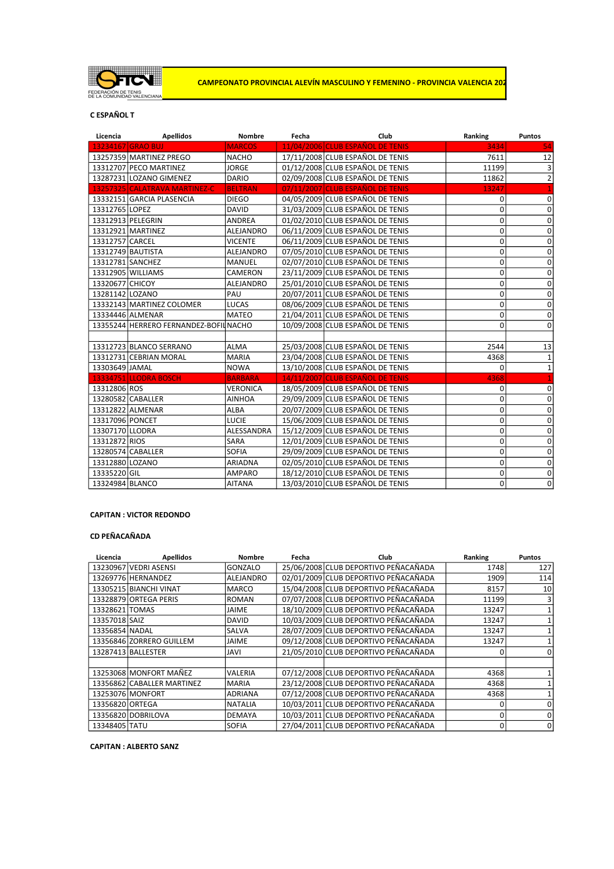

CAMPEONATO PROVINCIAL ALEVÍN MASCULINO Y FEMENINO - PROVINCIA VALENCIA 202

# C ESPAÑOL T

| Licencia         | <b>Apellidos</b>                       | Nombre           | Fecha | Club                             | Ranking     | Puntos         |
|------------------|----------------------------------------|------------------|-------|----------------------------------|-------------|----------------|
|                  | <b>13234167 GRAO BUJ</b>               | <b>MARCOS</b>    |       | 11/04/2006 CLUB ESPAÑOL DE TENIS | 3434        | 54             |
|                  | 13257359 MARTINEZ PREGO                | <b>NACHO</b>     |       | 17/11/2008 CLUB ESPAÑOL DE TENIS | 7611        | 12             |
|                  | 13312707 PECO MARTINEZ                 | <b>JORGE</b>     |       | 01/12/2008 CLUB ESPAÑOL DE TENIS | 11199       | 3              |
|                  | 13287231 LOZANO GIMENEZ                | <b>DARIO</b>     |       | 02/09/2008 CLUB ESPAÑOL DE TENIS | 11862       | $\overline{2}$ |
|                  | 13257325 CALATRAVA MARTINEZ-C          | <b>BELTRAN</b>   |       | 07/11/2007 CLUB ESPAÑOL DE TENIS | 13247       |                |
|                  | 13332151 GARCIA PLASENCIA              | <b>DIEGO</b>     |       | 04/05/2009 CLUB ESPAÑOL DE TENIS | 0           | $\mathbf 0$    |
| 13312765 LOPEZ   |                                        | <b>DAVID</b>     |       | 31/03/2009 CLUB ESPAÑOL DE TENIS | 0           | 0              |
|                  | 13312913 PELEGRIN                      | ANDREA           |       | 01/02/2010 CLUB ESPAÑOL DE TENIS | 0           | 0              |
|                  | 13312921 MARTINEZ                      | ALEJANDRO        |       | 06/11/2009 CLUB ESPAÑOL DE TENIS | 0           | $\pmb{0}$      |
| 13312757 CARCEL  |                                        | <b>VICENTE</b>   |       | 06/11/2009 CLUB ESPAÑOL DE TENIS | 0           | $\mathbf 0$    |
|                  | 13312749 BAUTISTA                      | ALEJANDRO        |       | 07/05/2010 CLUB ESPAÑOL DE TENIS | 0           | 0              |
| 13312781 SANCHEZ |                                        | <b>MANUEL</b>    |       | 02/07/2010 CLUB ESPAÑOL DE TENIS | 0           | 0              |
|                  | 13312905 WILLIAMS                      | <b>CAMERON</b>   |       | 23/11/2009 CLUB ESPAÑOL DE TENIS | $\mathbf 0$ | 0              |
| 13320677 CHICOY  |                                        | <b>ALEJANDRO</b> |       | 25/01/2010 CLUB ESPAÑOL DE TENIS | 0           | 0              |
| 13281142 LOZANO  |                                        | PAU              |       | 20/07/2011 CLUB ESPAÑOL DE TENIS | 0           | $\mathbf 0$    |
|                  | 13332143 MARTINEZ COLOMER              | LUCAS            |       | 08/06/2009 CLUB ESPAÑOL DE TENIS | $\mathbf 0$ | 0              |
|                  | 13334446 ALMENAR                       | <b>MATEO</b>     |       | 21/04/2011 CLUB ESPAÑOL DE TENIS | 0           | 0              |
|                  | 13355244 HERRERO FERNANDEZ-BOFIL NACHO |                  |       | 10/09/2008 CLUB ESPAÑOL DE TENIS | 0           | $\mathbf 0$    |
|                  |                                        |                  |       |                                  |             |                |
|                  | 13312723 BLANCO SERRANO                | <b>ALMA</b>      |       | 25/03/2008 CLUB ESPAÑOL DE TENIS | 2544        | 13             |
|                  | 13312731 CEBRIAN MORAL                 | <b>MARIA</b>     |       | 23/04/2008 CLUB ESPAÑOL DE TENIS | 4368        | 1              |
| 13303649 JAMAL   |                                        | <b>NOWA</b>      |       | 13/10/2008 CLUB ESPAÑOL DE TENIS | 0           | $\mathbf 1$    |
|                  | 13334751 LLODRA BOSCH                  | <b>BARBARA</b>   |       | 14/11/2007 CLUB ESPAÑOL DE TENIS | 4368        |                |
| 13312806 ROS     |                                        | <b>VERONICA</b>  |       | 18/05/2009 CLUB ESPAÑOL DE TENIS | 0           | 0              |
|                  | 13280582 CABALLER                      | <b>AINHOA</b>    |       | 29/09/2009 CLUB ESPAÑOL DE TENIS | 0           | 0              |
|                  | 13312822 ALMENAR                       | <b>ALBA</b>      |       | 20/07/2009 CLUB ESPAÑOL DE TENIS | 0           | $\mathbf 0$    |
| 13317096 PONCET  |                                        | <b>LUCIE</b>     |       | 15/06/2009 CLUB ESPAÑOL DE TENIS | 0           | 0              |
| 13307170 LLODRA  |                                        | ALESSANDRA       |       | 15/12/2009 CLUB ESPAÑOL DE TENIS | 0           | $\mathbf 0$    |
| 13312872 RIOS    |                                        | SARA             |       | 12/01/2009 CLUB ESPAÑOL DE TENIS | 0           | 0              |
|                  | 13280574 CABALLER                      | SOFIA            |       | 29/09/2009 CLUB ESPAÑOL DE TENIS | 0           | $\mathbf 0$    |
| 13312880 LOZANO  |                                        | <b>ARIADNA</b>   |       | 02/05/2010 CLUB ESPAÑOL DE TENIS | 0           | $\overline{0}$ |
| 13335220 GIL     |                                        | <b>AMPARO</b>    |       | 18/12/2010 CLUB ESPAÑOL DE TENIS | 0           | $\mathbf 0$    |
| 13324984 BLANCO  |                                        | <b>AITANA</b>    |       | 13/03/2010 CLUB ESPAÑOL DE TENIS | 0           | 0              |

# CAPITAN : VICTOR REDONDO

# CD PEÑACAÑADA

| Licencia        | <b>Apellidos</b>           | <b>Nombre</b>  | Fecha | <b>Club</b>                          | Ranking | <b>Puntos</b> |
|-----------------|----------------------------|----------------|-------|--------------------------------------|---------|---------------|
|                 | 13230967 VEDRI ASENSI      | GONZALO        |       | 25/06/2008 CLUB DEPORTIVO PEÑACAÑADA | 1748    | 127           |
|                 | 13269776 HERNANDEZ         | ALEJANDRO      |       | 02/01/2009 CLUB DEPORTIVO PEÑACAÑADA | 1909    | 114           |
|                 | 13305215 BIANCHI VINAT     | <b>MARCO</b>   |       | 15/04/2008 CLUB DEPORTIVO PEÑACAÑADA | 8157    | 10            |
|                 | 13328879 ORTEGA PERIS      | <b>ROMAN</b>   |       | 07/07/2008 CLUB DEPORTIVO PEÑACAÑADA | 11199   |               |
| 13328621 TOMAS  |                            | <b>JAIME</b>   |       | 18/10/2009 CLUB DEPORTIVO PEÑACAÑADA | 13247   |               |
| 13357018 SAIZ   |                            | <b>DAVID</b>   |       | 10/03/2009 CLUB DEPORTIVO PEÑACAÑADA | 13247   |               |
| 13356854 NADAL  |                            | <b>SALVA</b>   |       | 28/07/2009 CLUB DEPORTIVO PEÑACAÑADA | 13247   |               |
|                 | 13356846 ZORRERO GUILLEM   | <b>JAIME</b>   |       | 09/12/2008 CLUB DEPORTIVO PEÑACAÑADA | 13247   |               |
|                 | 13287413 BALLESTER         | JAVI           |       | 21/05/2010 CLUB DEPORTIVO PEÑACAÑADA | 0       | 0             |
|                 |                            |                |       |                                      |         |               |
|                 | 13253068 MONFORT MAÑEZ     | <b>VALERIA</b> |       | 07/12/2008 CLUB DEPORTIVO PEÑACAÑADA | 4368    |               |
|                 | 13356862 CABALLER MARTINEZ | <b>MARIA</b>   |       | 23/12/2008 CLUB DEPORTIVO PEÑACAÑADA | 4368    |               |
|                 | 13253076 MONFORT           | <b>ADRIANA</b> |       | 07/12/2008 CLUB DEPORTIVO PEÑACAÑADA | 4368    |               |
| 13356820 ORTEGA |                            | <b>NATALIA</b> |       | 10/03/2011 CLUB DEPORTIVO PEÑACAÑADA | 0       |               |
|                 | 13356820 DOBRILOVA         | <b>DEMAYA</b>  |       | 10/03/2011 CLUB DEPORTIVO PEÑACAÑADA | 0       | 0             |
| 13348405 TATU   |                            | <b>SOFIA</b>   |       | 27/04/2011 CLUB DEPORTIVO PEÑACAÑADA | 0       | 0             |

CAPITAN : ALBERTO SANZ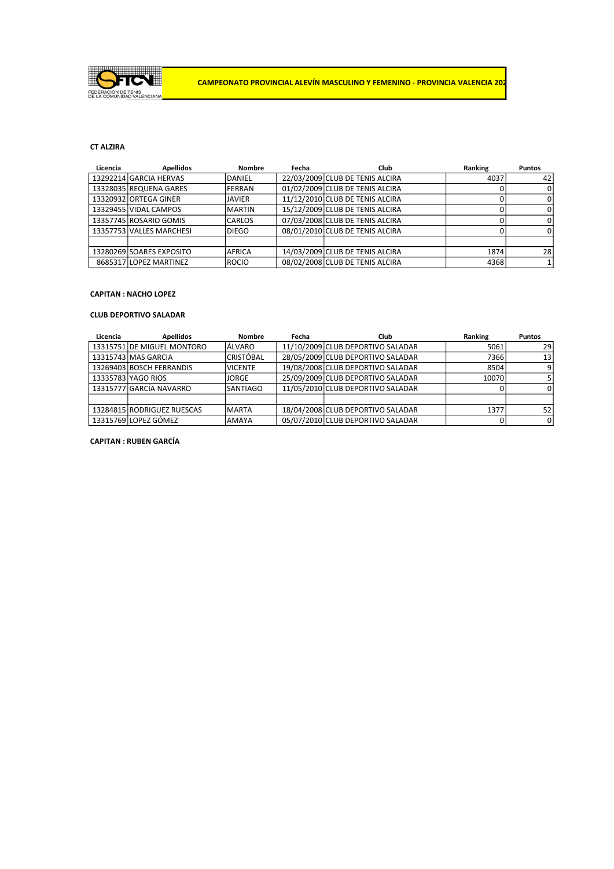

# CT ALZIRA

| Licencia | <b>Apellidos</b>         | <b>Nombre</b> | Fecha | <b>Club</b>                     | Ranking | <b>Puntos</b> |
|----------|--------------------------|---------------|-------|---------------------------------|---------|---------------|
|          | 13292214 GARCIA HERVAS   | DANIEL        |       | 22/03/2009 CLUB DE TENIS ALCIRA | 4037    | 42            |
|          | 13328035 REQUENA GARES   | IFERRAN       |       | 01/02/2009 CLUB DE TENIS ALCIRA |         | 0             |
|          | 13320932 ORTEGA GINER    | <b>JAVIER</b> |       | 11/12/2010 CLUB DE TENIS ALCIRA |         | 0             |
|          | 13329455 VIDAL CAMPOS    | IMARTIN       |       | 15/12/2009 CLUB DE TENIS ALCIRA |         | 0             |
|          | 13357745 ROSARIO GOMIS   | <b>CARLOS</b> |       | 07/03/2008 CLUB DE TENIS ALCIRA |         | 0             |
|          | 13357753 VALLES MARCHESI | DIEGO         |       | 08/01/2010 CLUB DE TENIS ALCIRA |         | 0             |
|          |                          |               |       |                                 |         |               |
|          | 13280269 SOARES EXPOSITO | IAFRICA       |       | 14/03/2009 CLUB DE TENIS ALCIRA | 1874    | 28            |
|          | 8685317 LOPEZ MARTINEZ   | <b>IROCIO</b> |       | 08/02/2008 CLUB DE TENIS ALCIRA | 4368    |               |

# CAPITAN : NACHO LOPEZ

### CLUB DEPORTIVO SALADAR

| Licencia | <b>Apellidos</b>           | <b>Nombre</b>   | Fecha | Club                              | Ranking | <b>Puntos</b> |
|----------|----------------------------|-----------------|-------|-----------------------------------|---------|---------------|
|          | 13315751 DE MIGUEL MONTORO | <b>LÁLVARO</b>  |       | 11/10/2009 CLUB DEPORTIVO SALADAR | 5061    | 29            |
|          | 13315743 MAS GARCIA        | ICRISTÓBAL      |       | 28/05/2009 CLUB DEPORTIVO SALADAR | 7366    | 13            |
|          | 13269403 BOSCH FERRANDIS   | <b>VICENTE</b>  |       | 19/08/2008 CLUB DEPORTIVO SALADAR | 8504    |               |
|          | 13335783 YAGO RIOS         | IJORGE          |       | 25/09/2009 CLUB DEPORTIVO SALADAR | 10070   |               |
|          | 13315777 GARCÍA NAVARRO    | <b>SANTIAGO</b> |       | 11/05/2010 CLUB DEPORTIVO SALADAR |         |               |
|          |                            |                 |       |                                   |         |               |
|          | 13284815 RODRIGUEZ RUESCAS | <b>IMARTA</b>   |       | 18/04/2008 CLUB DEPORTIVO SALADAR | 1377    | 52            |
|          | 13315769 LOPEZ GÓMEZ       | <b>AMAYA</b>    |       | 05/07/2010 CLUB DEPORTIVO SALADAR |         |               |

# CAPITAN : RUBEN GARCÍA